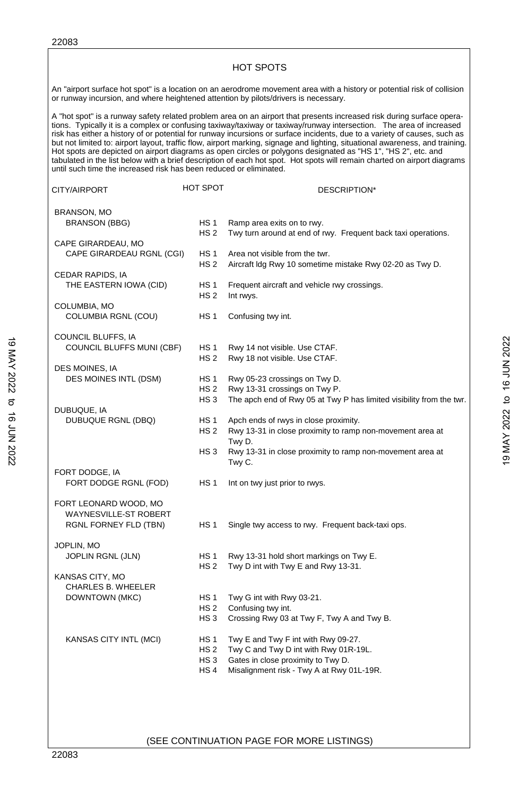|                                                                                     |                                    | <b>HOT SPOTS</b>                                                                                                                                                                                                                                                                                                                                                                                                                                                                                                                                                                                                                                                                                                                                        |
|-------------------------------------------------------------------------------------|------------------------------------|---------------------------------------------------------------------------------------------------------------------------------------------------------------------------------------------------------------------------------------------------------------------------------------------------------------------------------------------------------------------------------------------------------------------------------------------------------------------------------------------------------------------------------------------------------------------------------------------------------------------------------------------------------------------------------------------------------------------------------------------------------|
| or runway incursion, and where heightened attention by pilots/drivers is necessary. |                                    | An "airport surface hot spot" is a location on an aerodrome movement area with a history or potential risk of collision                                                                                                                                                                                                                                                                                                                                                                                                                                                                                                                                                                                                                                 |
| until such time the increased risk has been reduced or eliminated.                  |                                    | A "hot spot" is a runway safety related problem area on an airport that presents increased risk during surface opera-<br>tions. Typically it is a complex or confusing taxiway/taxiway or taxiway/runway intersection. The area of increased<br>risk has either a history of or potential for runway incursions or surface incidents, due to a variety of causes, such as<br>but not limited to: airport layout, traffic flow, airport marking, signage and lighting, situational awareness, and training.<br>Hot spots are depicted on airport diagrams as open circles or polygons designated as "HS 1", "HS 2", etc. and<br>tabulated in the list below with a brief description of each hot spot. Hot spots will remain charted on airport diagrams |
| CITY/AIRPORT                                                                        | HOT SPOT                           | DESCRIPTION*                                                                                                                                                                                                                                                                                                                                                                                                                                                                                                                                                                                                                                                                                                                                            |
| <b>BRANSON, MO</b>                                                                  |                                    |                                                                                                                                                                                                                                                                                                                                                                                                                                                                                                                                                                                                                                                                                                                                                         |
| <b>BRANSON (BBG)</b>                                                                | HS <sub>1</sub><br>HS <sub>2</sub> | Ramp area exits on to rwy.<br>Twy turn around at end of rwy. Frequent back taxi operations.                                                                                                                                                                                                                                                                                                                                                                                                                                                                                                                                                                                                                                                             |
| CAPE GIRARDEAU, MO                                                                  |                                    |                                                                                                                                                                                                                                                                                                                                                                                                                                                                                                                                                                                                                                                                                                                                                         |
| CAPE GIRARDEAU RGNL (CGI)                                                           | HS <sub>1</sub><br>HS <sub>2</sub> | Area not visible from the twr.<br>Aircraft Idg Rwy 10 sometime mistake Rwy 02-20 as Twy D.                                                                                                                                                                                                                                                                                                                                                                                                                                                                                                                                                                                                                                                              |
| CEDAR RAPIDS, IA                                                                    |                                    |                                                                                                                                                                                                                                                                                                                                                                                                                                                                                                                                                                                                                                                                                                                                                         |
| THE EASTERN IOWA (CID)                                                              | HS <sub>1</sub><br>HS <sub>2</sub> | Frequent aircraft and vehicle rwy crossings.<br>Int rwys.                                                                                                                                                                                                                                                                                                                                                                                                                                                                                                                                                                                                                                                                                               |
| COLUMBIA, MO<br>COLUMBIA RGNL (COU)                                                 | HS <sub>1</sub>                    | Confusing twy int.                                                                                                                                                                                                                                                                                                                                                                                                                                                                                                                                                                                                                                                                                                                                      |
| COUNCIL BLUFFS, IA                                                                  |                                    |                                                                                                                                                                                                                                                                                                                                                                                                                                                                                                                                                                                                                                                                                                                                                         |
| COUNCIL BLUFFS MUNI (CBF)                                                           | HS 1<br>HS 2                       | Rwy 14 not visible. Use CTAF.<br>Rwy 18 not visible. Use CTAF.                                                                                                                                                                                                                                                                                                                                                                                                                                                                                                                                                                                                                                                                                          |
| DES MOINES, IA                                                                      |                                    |                                                                                                                                                                                                                                                                                                                                                                                                                                                                                                                                                                                                                                                                                                                                                         |
| DES MOINES INTL (DSM)                                                               | HS <sub>1</sub><br><b>HS 2</b>     | Rwy 05-23 crossings on Twy D.<br>Rwy 13-31 crossings on Twy P.                                                                                                                                                                                                                                                                                                                                                                                                                                                                                                                                                                                                                                                                                          |
|                                                                                     | HS <sub>3</sub>                    | The apch end of Rwy 05 at Twy P has limited visibility from the twr.                                                                                                                                                                                                                                                                                                                                                                                                                                                                                                                                                                                                                                                                                    |
| DUBUQUE, IA<br><b>DUBUQUE RGNL (DBQ)</b>                                            | HS <sub>1</sub>                    | Apch ends of rwys in close proximity.                                                                                                                                                                                                                                                                                                                                                                                                                                                                                                                                                                                                                                                                                                                   |
|                                                                                     | HS <sub>2</sub>                    | Rwy 13-31 in close proximity to ramp non-movement area at<br>Twv D.                                                                                                                                                                                                                                                                                                                                                                                                                                                                                                                                                                                                                                                                                     |
|                                                                                     | HS <sub>3</sub>                    | Rwy 13-31 in close proximity to ramp non-movement area at<br>Twy C.                                                                                                                                                                                                                                                                                                                                                                                                                                                                                                                                                                                                                                                                                     |
| FORT DODGE, IA                                                                      |                                    |                                                                                                                                                                                                                                                                                                                                                                                                                                                                                                                                                                                                                                                                                                                                                         |
| FORT DODGE RGNL (FOD)                                                               | <b>HS1</b>                         | Int on twy just prior to rwys.                                                                                                                                                                                                                                                                                                                                                                                                                                                                                                                                                                                                                                                                                                                          |
| FORT LEONARD WOOD, MO                                                               |                                    |                                                                                                                                                                                                                                                                                                                                                                                                                                                                                                                                                                                                                                                                                                                                                         |
| WAYNESVILLE-ST ROBERT<br>RGNL FORNEY FLD (TBN)                                      | HS <sub>1</sub>                    | Single twy access to rwy. Frequent back-taxi ops.                                                                                                                                                                                                                                                                                                                                                                                                                                                                                                                                                                                                                                                                                                       |
| JOPLIN, MO                                                                          |                                    |                                                                                                                                                                                                                                                                                                                                                                                                                                                                                                                                                                                                                                                                                                                                                         |
| JOPLIN RGNL (JLN)                                                                   | HS <sub>1</sub><br>HS <sub>2</sub> | Rwy 13-31 hold short markings on Twy E.<br>Twy D int with Twy E and Rwy 13-31.                                                                                                                                                                                                                                                                                                                                                                                                                                                                                                                                                                                                                                                                          |
| KANSAS CITY, MO                                                                     |                                    |                                                                                                                                                                                                                                                                                                                                                                                                                                                                                                                                                                                                                                                                                                                                                         |
| CHARLES B. WHEELER                                                                  |                                    |                                                                                                                                                                                                                                                                                                                                                                                                                                                                                                                                                                                                                                                                                                                                                         |
| DOWNTOWN (MKC)                                                                      | HS <sub>1</sub><br>HS <sub>2</sub> | Twy G int with Rwy 03-21.<br>Confusing twy int.                                                                                                                                                                                                                                                                                                                                                                                                                                                                                                                                                                                                                                                                                                         |
|                                                                                     | HS <sub>3</sub>                    | Crossing Rwy 03 at Twy F, Twy A and Twy B.                                                                                                                                                                                                                                                                                                                                                                                                                                                                                                                                                                                                                                                                                                              |
| KANSAS CITY INTL (MCI)                                                              | HS <sub>1</sub>                    | Twy E and Twy F int with Rwy 09-27.                                                                                                                                                                                                                                                                                                                                                                                                                                                                                                                                                                                                                                                                                                                     |
|                                                                                     | HS <sub>2</sub>                    | Twy C and Twy D int with Rwy 01R-19L.                                                                                                                                                                                                                                                                                                                                                                                                                                                                                                                                                                                                                                                                                                                   |
|                                                                                     | HS <sub>3</sub>                    | Gates in close proximity to Twy D.<br>Misalignment risk - Twy A at Rwy 01L-19R.                                                                                                                                                                                                                                                                                                                                                                                                                                                                                                                                                                                                                                                                         |
|                                                                                     | HS <sub>4</sub>                    |                                                                                                                                                                                                                                                                                                                                                                                                                                                                                                                                                                                                                                                                                                                                                         |

(SEE CONTINUATION PAGE FOR MORE LISTINGS)